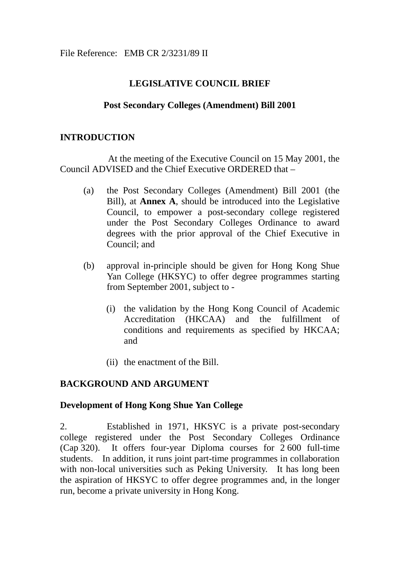## **LEGISLATIVE COUNCIL BRIEF**

## **Post Secondary Colleges (Amendment) Bill 2001**

### **INTRODUCTION**

At the meeting of the Executive Council on 15 May 2001, the Council ADVISED and the Chief Executive ORDERED that –

- (a) the Post Secondary Colleges (Amendment) Bill 2001 (the Bill), at **Annex A**, should be introduced into the Legislative Council, to empower a post-secondary college registered under the Post Secondary Colleges Ordinance to award degrees with the prior approval of the Chief Executive in Council; and
- (b) approval in-principle should be given for Hong Kong Shue Yan College (HKSYC) to offer degree programmes starting from September 2001, subject to -
	- (i) the validation by the Hong Kong Council of Academic Accreditation (HKCAA) and the fulfillment of conditions and requirements as specified by HKCAA; and
	- (ii) the enactment of the Bill.

## **BACKGROUND AND ARGUMENT**

### **Development of Hong Kong Shue Yan College**

2. Established in 1971, HKSYC is a private post-secondary college registered under the Post Secondary Colleges Ordinance (Cap 320). It offers four-year Diploma courses for 2 600 full-time students. In addition, it runs joint part-time programmes in collaboration with non-local universities such as Peking University. It has long been the aspiration of HKSYC to offer degree programmes and, in the longer run, become a private university in Hong Kong.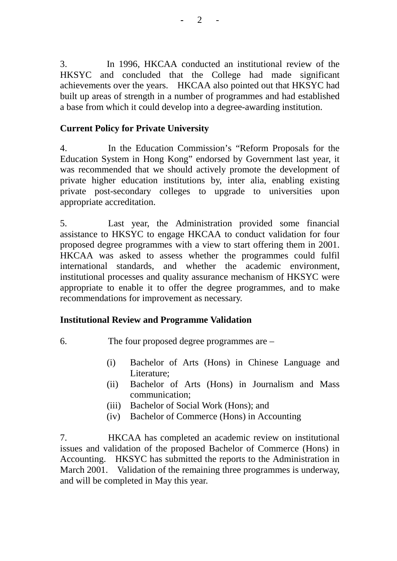3. In 1996, HKCAA conducted an institutional review of the HKSYC and concluded that the College had made significant achievements over the years. HKCAA also pointed out that HKSYC had built up areas of strength in a number of programmes and had established a base from which it could develop into a degree-awarding institution.

# **Current Policy for Private University**

4. In the Education Commission's "Reform Proposals for the Education System in Hong Kong" endorsed by Government last year, it was recommended that we should actively promote the development of private higher education institutions by, inter alia, enabling existing private post-secondary colleges to upgrade to universities upon appropriate accreditation.

5. Last year, the Administration provided some financial assistance to HKSYC to engage HKCAA to conduct validation for four proposed degree programmes with a view to start offering them in 2001. HKCAA was asked to assess whether the programmes could fulfil international standards, and whether the academic environment, institutional processes and quality assurance mechanism of HKSYC were appropriate to enable it to offer the degree programmes, and to make recommendations for improvement as necessary.

## **Institutional Review and Programme Validation**

6. The four proposed degree programmes are –

- (i) Bachelor of Arts (Hons) in Chinese Language and Literature;
- (ii) Bachelor of Arts (Hons) in Journalism and Mass communication;
- (iii) Bachelor of Social Work (Hons); and
- (iv) Bachelor of Commerce (Hons) in Accounting

7. HKCAA has completed an academic review on institutional issues and validation of the proposed Bachelor of Commerce (Hons) in Accounting. HKSYC has submitted the reports to the Administration in March 2001. Validation of the remaining three programmes is underway, and will be completed in May this year.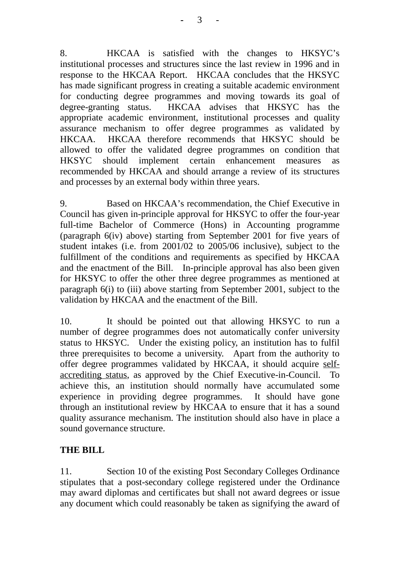8. HKCAA is satisfied with the changes to HKSYC's institutional processes and structures since the last review in 1996 and in response to the HKCAA Report. HKCAA concludes that the HKSYC has made significant progress in creating a suitable academic environment for conducting degree programmes and moving towards its goal of degree-granting status. HKCAA advises that HKSYC has the appropriate academic environment, institutional processes and quality assurance mechanism to offer degree programmes as validated by HKCAA. HKCAA therefore recommends that HKSYC should be allowed to offer the validated degree programmes on condition that HKSYC should implement certain enhancement measures as recommended by HKCAA and should arrange a review of its structures and processes by an external body within three years.

9. Based on HKCAA's recommendation, the Chief Executive in Council has given in-principle approval for HKSYC to offer the four-year full-time Bachelor of Commerce (Hons) in Accounting programme (paragraph 6(iv) above) starting from September 2001 for five years of student intakes (i.e. from 2001/02 to 2005/06 inclusive), subject to the fulfillment of the conditions and requirements as specified by HKCAA and the enactment of the Bill. In-principle approval has also been given for HKSYC to offer the other three degree programmes as mentioned at paragraph 6(i) to (iii) above starting from September 2001, subject to the validation by HKCAA and the enactment of the Bill.

10. It should be pointed out that allowing HKSYC to run a number of degree programmes does not automatically confer university status to HKSYC. Under the existing policy, an institution has to fulfil three prerequisites to become a university. Apart from the authority to offer degree programmes validated by HKCAA, it should acquire selfaccrediting status, as approved by the Chief Executive-in-Council. To achieve this, an institution should normally have accumulated some experience in providing degree programmes. It should have gone through an institutional review by HKCAA to ensure that it has a sound quality assurance mechanism. The institution should also have in place a sound governance structure.

## **THE BILL**

11. Section 10 of the existing Post Secondary Colleges Ordinance stipulates that a post-secondary college registered under the Ordinance may award diplomas and certificates but shall not award degrees or issue any document which could reasonably be taken as signifying the award of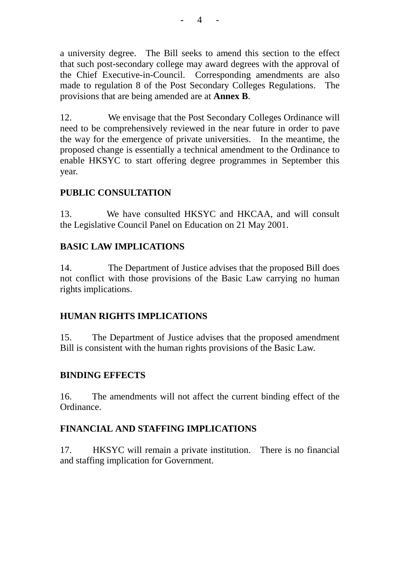a university degree. The Bill seeks to amend this section to the effect that such post-secondary college may award degrees with the approval of the Chief Executive-in-Council. Corresponding amendments are also made to regulation 8 of the Post Secondary Colleges Regulations. The provisions that are being amended are at **Annex B**.

12. We envisage that the Post Secondary Colleges Ordinance will need to be comprehensively reviewed in the near future in order to pave the way for the emergence of private universities. In the meantime, the proposed change is essentially a technical amendment to the Ordinance to enable HKSYC to start offering degree programmes in September this year.

## **PUBLIC CONSULTATION**

13. We have consulted HKSYC and HKCAA, and will consult the Legislative Council Panel on Education on 21 May 2001.

## **BASIC LAW IMPLICATIONS**

14. The Department of Justice advises that the proposed Bill does not conflict with those provisions of the Basic Law carrying no human rights implications.

# **HUMAN RIGHTS IMPLICATIONS**

15. The Department of Justice advises that the proposed amendment Bill is consistent with the human rights provisions of the Basic Law.

## **BINDING EFFECTS**

16. The amendments will not affect the current binding effect of the Ordinance.

## **FINANCIAL AND STAFFING IMPLICATIONS**

17. HKSYC will remain a private institution. There is no financial and staffing implication for Government.

**-** 4 -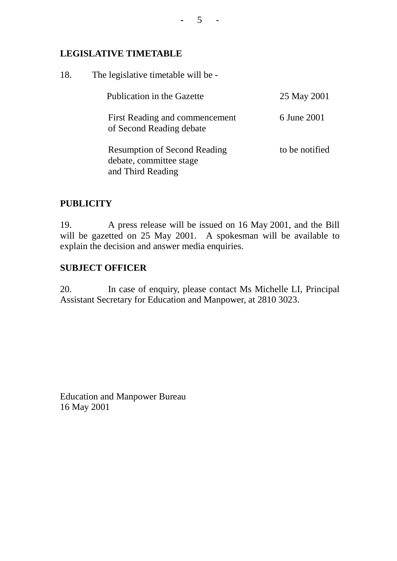### **LEGISLATIVE TIMETABLE**

| 18. | The legislative timetable will be -                                                 |                |  |  |  |  |  |
|-----|-------------------------------------------------------------------------------------|----------------|--|--|--|--|--|
|     | Publication in the Gazette                                                          | 25 May 2001    |  |  |  |  |  |
|     | First Reading and commencement<br>of Second Reading debate                          | 6 June 2001    |  |  |  |  |  |
|     | <b>Resumption of Second Reading</b><br>debate, committee stage<br>and Third Reading | to be notified |  |  |  |  |  |

## **PUBLICITY**

19. A press release will be issued on 16 May 2001, and the Bill will be gazetted on 25 May 2001. A spokesman will be available to explain the decision and answer media enquiries.

# **SUBJECT OFFICER**

20. In case of enquiry, please contact Ms Michelle LI, Principal Assistant Secretary for Education and Manpower, at 2810 3023.

Education and Manpower Bureau 16 May 2001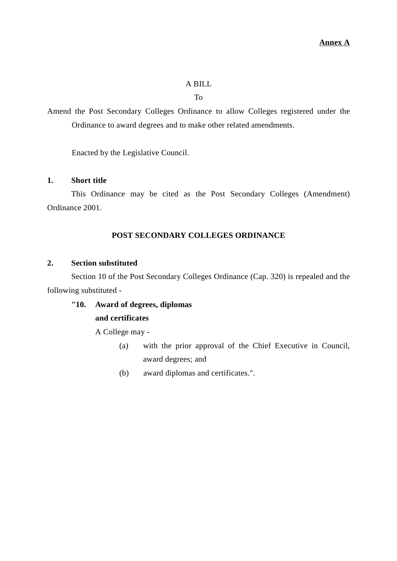#### A BILL

To

Amend the Post Secondary Colleges Ordinance to allow Colleges registered under the Ordinance to award degrees and to make other related amendments.

Enacted by the Legislative Council.

### **1. Short title**

This Ordinance may be cited as the Post Secondary Colleges (Amendment) Ordinance 2001.

#### **POST SECONDARY COLLEGES ORDINANCE**

#### **2. Section substituted**

Section 10 of the Post Secondary Colleges Ordinance (Cap. 320) is repealed and the following substituted -

### **"10. Award of degrees, diplomas and certificates**

A College may -

- (a) with the prior approval of the Chief Executive in Council, award degrees; and
- (b) award diplomas and certificates.".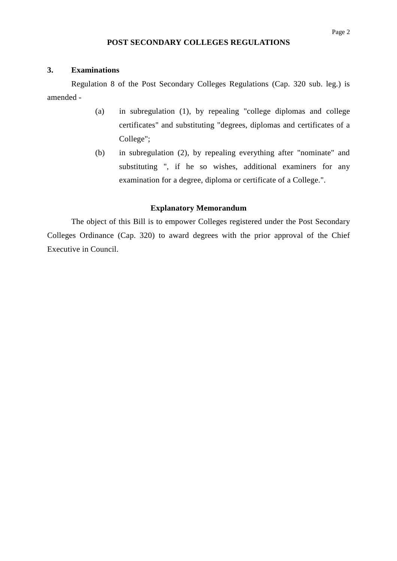#### **POST SECONDARY COLLEGES REGULATIONS**

#### **3. Examinations**

Regulation 8 of the Post Secondary Colleges Regulations (Cap. 320 sub. leg.) is amended -

- (a) in subregulation (1), by repealing "college diplomas and college certificates" and substituting "degrees, diplomas and certificates of a College";
- (b) in subregulation (2), by repealing everything after "nominate" and substituting ", if he so wishes, additional examiners for any examination for a degree, diploma or certificate of a College.".

#### **Explanatory Memorandum**

The object of this Bill is to empower Colleges registered under the Post Secondary Colleges Ordinance (Cap. 320) to award degrees with the prior approval of the Chief Executive in Council.